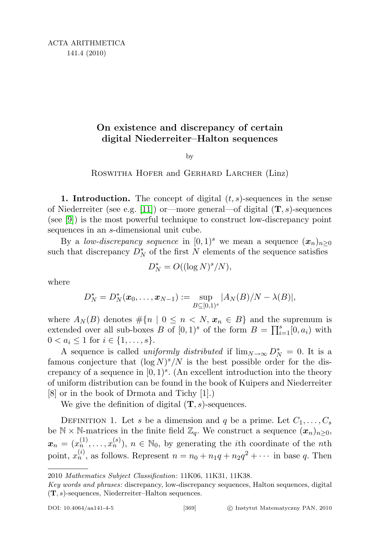## On existence and discrepancy of certain digital Niederreiter–Halton sequences

by

## ROSWITHA HOFER and GERHARD LARCHER (Linz)

**1. Introduction.** The concept of digital  $(t, s)$ -sequences in the sense of Niederreiter (see e.g. [\[11\]](#page-25-0)) or—more general—of digital  $(T, s)$ -sequences (see [\[9\]](#page-25-1)) is the most powerful technique to construct low-discrepancy point sequences in an s-dimensional unit cube.

By a low-discrepancy sequence in  $[0,1)^s$  we mean a sequence  $(x_n)_{n\geq 0}$ such that discrepancy  $D_N^*$  of the first N elements of the sequence satisfies

$$
D_N^* = O((\log N)^s/N),
$$

where

$$
D_N^* = D_N^*(\mathbf{x}_0, \dots, \mathbf{x}_{N-1}) := \sup_{B \subseteq [0,1)^s} |A_N(B)/N - \lambda(B)|,
$$

where  $A_N(B)$  denotes  $\#\{n \mid 0 \leq n \leq N, x_n \in B\}$  and the supremum is extended over all sub-boxes B of  $[0,1)^s$  of the form  $B = \prod_{i=1}^s [0, a_i)$  with  $0 < a_i \leq 1$  for  $i \in \{1, \ldots, s\}.$ 

A sequence is called *uniformly distributed* if  $\lim_{N\to\infty} D_N^* = 0$ . It is a famous conjecture that  $(\log N)^s/N$  is the best possible order for the discrepancy of a sequence in  $[0, 1)<sup>s</sup>$ . (An excellent introduction into the theory of uniform distribution can be found in the book of Kuipers and Niederreiter [8] or in the book of Drmota and Tichy [1].)

We give the definition of digital  $(T, s)$ -sequences.

DEFINITION 1. Let s be a dimension and q be a prime. Let  $C_1, \ldots, C_s$ be  $\mathbb{N} \times \mathbb{N}$ -matrices in the finite field  $\mathbb{Z}_q$ . We construct a sequence  $(\mathbf{x}_n)_{n \geq 0}$ ,  $\mathbf{x}_n = (x_n^{(1)}, \ldots, x_n^{(s)}), n \in \mathbb{N}_0$ , by generating the *i*th coordinate of the *n*th point,  $x_n^{(i)}$ , as follows. Represent  $n = n_0 + n_1q + n_2q^2 + \cdots$  in base q. Then

<sup>2010</sup> Mathematics Subject Classification: 11K06, 11K31, 11K38.

Key words and phrases: discrepancy, low-discrepancy sequences, Halton sequences, digital (T, s)-sequences, Niederreiter–Halton sequences.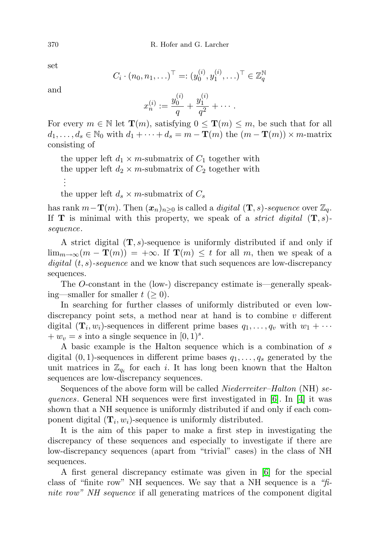set

$$
C_i \cdot (n_0, n_1, \ldots)^{\top} =: (y_0^{(i)}, y_1^{(i)}, \ldots)^{\top} \in \mathbb{Z}_q^{\mathbb{N}}
$$

and

$$
x_n^{(i)} := \frac{y_0^{(i)}}{q} + \frac{y_1^{(i)}}{q^2} + \cdots.
$$

For every  $m \in \mathbb{N}$  let  $\mathbf{T}(m)$ , satisfying  $0 \leq \mathbf{T}(m) \leq m$ , be such that for all  $d_1, \ldots, d_s \in \mathbb{N}_0$  with  $d_1 + \cdots + d_s = m - \mathbf{T}(m)$  the  $(m - \mathbf{T}(m)) \times m$ -matrix consisting of

the upper left  $d_1 \times m$ -submatrix of  $C_1$  together with the upper left  $d_2 \times m$ -submatrix of  $C_2$  together with . . .

the upper left  $d_s \times m$ -submatrix of  $C_s$ 

has rank  $m-\mathbf{T}(m)$ . Then  $(\mathbf{x}_n)_{n>0}$  is called a *digital*  $(\mathbf{T}, s)$ -sequence over  $\mathbb{Z}_q$ . If **T** is minimal with this property, we speak of a *strict digital*  $(T, s)$ sequence.

A strict digital  $(T, s)$ -sequence is uniformly distributed if and only if  $\lim_{m\to\infty}(m-\mathbf{T}(m))=+\infty$ . If  $\mathbf{T}(m)\leq t$  for all m, then we speak of a digital  $(t, s)$ -sequence and we know that such sequences are low-discrepancy sequences.

The O-constant in the (low-) discrepancy estimate is—generally speaking—smaller for smaller  $t \geq 0$ ).

In searching for further classes of uniformly distributed or even lowdiscrepancy point sets, a method near at hand is to combine  $v$  different digital  $(\mathbf{T}_i, w_i)$ -sequences in different prime bases  $q_1, \ldots, q_v$  with  $w_1 + \cdots$  $+ w_v = s$  into a single sequence in  $[0, 1)^s$ .

A basic example is the Halton sequence which is a combination of s digital  $(0, 1)$ -sequences in different prime bases  $q_1, \ldots, q_s$  generated by the unit matrices in  $\mathbb{Z}_{q_i}$  for each i. It has long been known that the Halton sequences are low-discrepancy sequences.

Sequences of the above form will be called *Niederreiter–Halton* (NH) sequences. General NH sequences were first investigated in  $[6]$ . In [\[4\]](#page-25-3) it was shown that a NH sequence is uniformly distributed if and only if each component digital  $(\mathbf{T}_i, w_i)$ -sequence is uniformly distributed.

It is the aim of this paper to make a first step in investigating the discrepancy of these sequences and especially to investigate if there are low-discrepancy sequences (apart from "trivial" cases) in the class of NH sequences.

A first general discrepancy estimate was given in [\[6\]](#page-25-2) for the special class of "finite row" NH sequences. We say that a NH sequence is a " $f_i$ nite row" NH sequence if all generating matrices of the component digital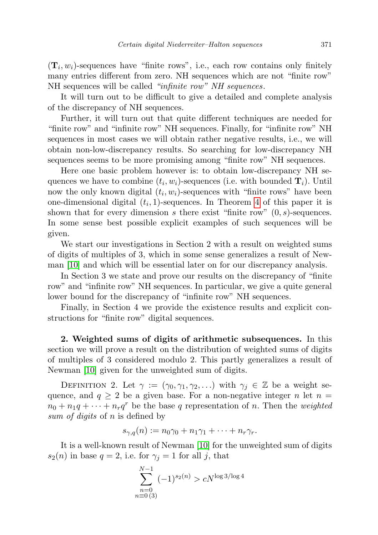$(\mathbf{T}_i, w_i)$ -sequences have "finite rows", i.e., each row contains only finitely many entries different from zero. NH sequences which are not "finite row" NH sequences will be called "infinite row" NH sequences.

It will turn out to be difficult to give a detailed and complete analysis of the discrepancy of NH sequences.

Further, it will turn out that quite different techniques are needed for "finite row" and "infinite row" NH sequences. Finally, for "infinite row" NH sequences in most cases we will obtain rather negative results, i.e., we will obtain non-low-discrepancy results. So searching for low-discrepancy NH sequences seems to be more promising among "finite row" NH sequences.

Here one basic problem however is: to obtain low-discrepancy NH sequences we have to combine  $(t_i, w_i)$ -sequences (i.e. with bounded  $\mathbf{T}_i$ ). Until now the only known digital  $(t_i, w_i)$ -sequences with "finite rows" have been one-dimensional digital  $(t_i, 1)$ -sequences. In Theorem [4](#page-13-0) of this paper it is shown that for every dimension s there exist "finite row"  $(0, s)$ -sequences. In some sense best possible explicit examples of such sequences will be given.

We start our investigations in Section 2 with a result on weighted sums of digits of multiples of 3, which in some sense generalizes a result of Newman [\[10\]](#page-25-4) and which will be essential later on for our discrepancy analysis.

In Section 3 we state and prove our results on the discrepancy of "finite row" and "infinite row" NH sequences. In particular, we give a quite general lower bound for the discrepancy of "infinite row" NH sequences.

Finally, in Section 4 we provide the existence results and explicit constructions for "finite row" digital sequences.

2. Weighted sums of digits of arithmetic subsequences. In this section we will prove a result on the distribution of weighted sums of digits of multiples of 3 considered modulo 2. This partly generalizes a result of Newman [\[10\]](#page-25-4) given for the unweighted sum of digits.

DEFINITION 2. Let  $\gamma := (\gamma_0, \gamma_1, \gamma_2, \ldots)$  with  $\gamma_j \in \mathbb{Z}$  be a weight sequence, and  $q \ge 2$  be a given base. For a non-negative integer n let  $n =$  $n_0 + n_1q + \cdots + n_rq^r$  be the base q representation of n. Then the weighted sum of digits of n is defined by

$$
s_{\gamma,q}(n) := n_0 \gamma_0 + n_1 \gamma_1 + \cdots + n_r \gamma_r.
$$

It is a well-known result of Newman [\[10\]](#page-25-4) for the unweighted sum of digits  $s_2(n)$  in base  $q = 2$ , i.e. for  $\gamma_i = 1$  for all j, that

$$
\sum_{\substack{n=0\\n\equiv 0\,(3)}}^{N-1}(-1)^{s_2(n)} > cN^{\log 3/\log 4}
$$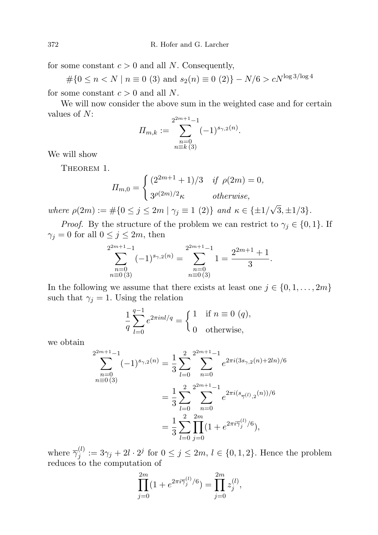for some constant  $c > 0$  and all N. Consequently,

 $\#\{0 \le n \lt N \mid n \equiv 0 \ (3) \text{ and } s_2(n) \equiv 0 \ (2)\} - N/6 > cN^{\log 3/\log 4}$ 

for some constant  $c > 0$  and all N.

We will now consider the above sum in the weighted case and for certain values of N:

$$
\Pi_{m,k} := \sum_{\substack{n=0 \ n \equiv k \ (3)}}^{2^{2m+1}-1} (-1)^{s_{\gamma,2}(n)}.
$$

<span id="page-3-0"></span>We will show

THEOREM 1.

$$
H_{m,0} = \begin{cases} (2^{2m+1} + 1)/3 & \text{if } \rho(2m) = 0, \\ 3^{\rho(2m)/2} \kappa & \text{otherwise,} \end{cases}
$$

where  $\rho(2m) := \#\{0 \le j \le 2m \mid \gamma_j \equiv 1 \ (2)\}\$  and  $\kappa \in \{\pm 1/\}$  $3, \pm 1/3$ .

*Proof.* By the structure of the problem we can restrict to  $\gamma_i \in \{0, 1\}$ . If  $\gamma_j = 0$  for all  $0 \le j \le 2m$ , then

$$
\sum_{\substack{n=0 \ n\equiv 0 \ (3)}}^{2^{2m+1}-1} (-1)^{s_{\gamma,2}(n)} = \sum_{\substack{n=0 \ n\equiv 0 \ (3)}}^{2^{2m+1}-1} 1 = \frac{2^{2m+1}+1}{3}.
$$

In the following we assume that there exists at least one  $j \in \{0, 1, \ldots, 2m\}$ such that  $\gamma_i = 1$ . Using the relation

$$
\frac{1}{q} \sum_{l=0}^{q-1} e^{2\pi i n l/q} = \begin{cases} 1 & \text{if } n \equiv 0 \ (q), \\ 0 & \text{otherwise,} \end{cases}
$$

we obtain

$$
\sum_{n=0}^{2^{2m+1}-1} (-1)^{s_{\gamma,2}(n)} = \frac{1}{3} \sum_{l=0}^{2} \sum_{n=0}^{2^{2m+1}-1} e^{2\pi i (3s_{\gamma,2}(n)+2ln)/6}
$$

$$
= \frac{1}{3} \sum_{l=0}^{2} \sum_{n=0}^{2^{2m+1}-1} e^{2\pi i (s_{\overline{\gamma}(l),2}(n))/6}
$$

$$
= \frac{1}{3} \sum_{l=0}^{2} \prod_{j=0}^{2m} (1 + e^{2\pi i \overline{\gamma}_j^{(l)}/6}),
$$

where  $\overline{\gamma}_i^{(l)}$  $j_j^{(l)} := 3\gamma_j + 2l \cdot 2^j$  for  $0 \le j \le 2m, l \in \{0, 1, 2\}$ . Hence the problem reduces to the computation of

$$
\prod_{j=0}^{2m} (1 + e^{2\pi i \overline{\gamma}_j^{(l)}/6}) = \prod_{j=0}^{2m} z_j^{(l)},
$$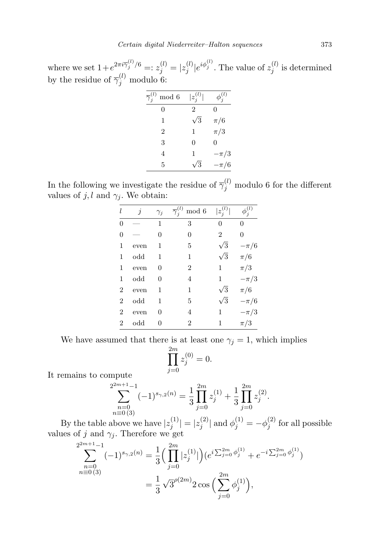where we set  $1 + e^{2\pi i \overline{\gamma}_j^{(l)}/6} =: z_j^{(l)} = |z_j^{(l)}|$  $j^{(l)}|e^{i\phi_j^{(l)}}$ . The value of  $z_j^{(l)}$  $j^{(i)}$  is determined by the residue of  $\overline{\gamma}_j^{(l)}$  modulo 6:

| $\overline{\gamma}_i^{(l)}$<br>mod 6 | $ z_i^{(l)} $  | $\phi_i^{(l)}$ |
|--------------------------------------|----------------|----------------|
| 0                                    | $\overline{2}$ | 0              |
| 1                                    | $\sqrt{3}$     | $\pi/6$        |
| $\overline{2}$                       | 1              | $\pi/3$        |
| 3                                    | 0              | 0              |
| 4                                    | 1              | $-\pi/3$       |
| 5                                    | 3              | $-\pi/6$       |
|                                      |                |                |

In the following we investigate the residue of  $\overline{\gamma}_j^{(l)}$  modulo 6 for the different values of j, l and  $\gamma_j$ . We obtain:

| l              | $\dot{j}$ | $\gamma_j$     | mod 6          | $ z_j^{(\bar{l})} $ | $\phi_j^{(\bar{l})}$ |
|----------------|-----------|----------------|----------------|---------------------|----------------------|
| $\overline{0}$ |           | 1              | 3              | $\Omega$            | 0                    |
| $\overline{0}$ |           | $\overline{0}$ | 0              | $\overline{2}$      | 0                    |
| 1              | even      | 1              | 5              | $\sqrt{3}$          | $-\pi/6$             |
| 1              | odd       | 1              | 1              | $\sqrt{3}$          | $\pi/6$              |
| 1              | even      | 0              | $\overline{2}$ | 1                   | $\pi/3$              |
| 1              | $\rm odd$ | $\overline{0}$ | 4              | 1                   | $-\pi/3$             |
| $\overline{2}$ | even      | 1              | 1              | $\sqrt{3}$          | $\pi/6$              |
| $\overline{2}$ | $\rm odd$ | 1              | 5              | $\sqrt{3}$          | $-\pi/6$             |
| $\overline{2}$ | even      | 0              | 4              | $\mathbf 1$         | $-\pi/3$             |
| $\overline{2}$ | odd       | 0              | $\overline{2}$ | 1                   | $\pi/3$              |

We have assumed that there is at least one  $\gamma_j = 1$ , which implies

$$
\prod_{j=0}^{2m} z_j^{(0)} = 0.
$$

It remains to compute

$$
\sum_{\substack{n=0 \ n\equiv 0 \ (3)}}^{2^{2m+1}-1} (-1)^{s_{\gamma,2}(n)} = \frac{1}{3} \prod_{j=0}^{2m} z_j^{(1)} + \frac{1}{3} \prod_{j=0}^{2m} z_j^{(2)}.
$$

By the table above we have  $|z_i^{(1)}\rangle$  $\vert z_j^{(1)} \vert = \vert z_j^{(2)} \vert$  $|\phi_j^{(2)}|$  and  $\phi_j^{(1)} = -\phi_j^{(2)}$  $j_j^{(2)}$  for all possible values of j and  $\gamma_j$ . Therefore we get

$$
\sum_{\substack{n=0 \ n\equiv 0(3)}}^{2^{2m+1}-1} (-1)^{s_{\gamma,2}(n)} = \frac{1}{3} \left( \prod_{j=0}^{2m} |z_j^{(1)}| \right) \left( e^{i \sum_{j=0}^{2m} \phi_j^{(1)}} + e^{-i \sum_{j=0}^{2m} \phi_j^{(1)}} \right)
$$

$$
= \frac{1}{3} \sqrt{3}^{\rho(2m)} 2 \cos \left( \sum_{j=0}^{2m} \phi_j^{(1)} \right),
$$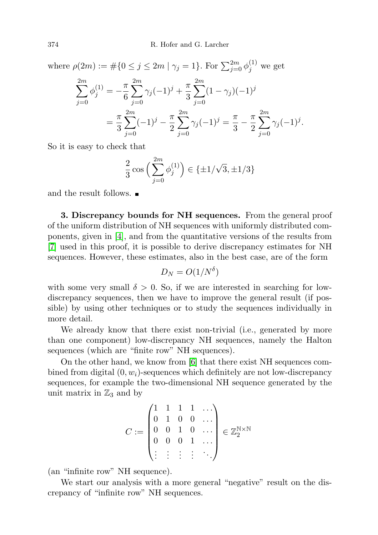where  $\rho(2m) := \#\{0 \le j \le 2m \mid \gamma_j = 1\}$ . For  $\sum_{j=0}^{2m} \phi_j^{(1)}$  we get

$$
\sum_{j=0}^{2m} \phi_j^{(1)} = -\frac{\pi}{6} \sum_{j=0}^{2m} \gamma_j (-1)^j + \frac{\pi}{3} \sum_{j=0}^{2m} (1 - \gamma_j)(-1)^j
$$
  
=  $\frac{\pi}{3} \sum_{j=0}^{2m} (-1)^j - \frac{\pi}{2} \sum_{j=0}^{2m} \gamma_j (-1)^j = \frac{\pi}{3} - \frac{\pi}{2} \sum_{j=0}^{2m} \gamma_j (-1)^j.$ 

So it is easy to check that

$$
\frac{2}{3}\cos\left(\sum_{j=0}^{2m}\phi_j^{(1)}\right) \in \{\pm 1/\sqrt{3}, \pm 1/3\}
$$

and the result follows.

3. Discrepancy bounds for NH sequences. From the general proof of the uniform distribution of NH sequences with uniformly distributed components, given in [\[4\]](#page-25-3), and from the quantitative versions of the results from [\[7\]](#page-25-5) used in this proof, it is possible to derive discrepancy estimates for NH sequences. However, these estimates, also in the best case, are of the form

$$
D_N = O(1/N^{\delta})
$$

with some very small  $\delta > 0$ . So, if we are interested in searching for lowdiscrepancy sequences, then we have to improve the general result (if possible) by using other techniques or to study the sequences individually in more detail.

We already know that there exist non-trivial (i.e., generated by more than one component) low-discrepancy NH sequences, namely the Halton sequences (which are "finite row" NH sequences).

On the other hand, we know from [\[6\]](#page-25-2) that there exist NH sequences combined from digital  $(0, w_i)$ -sequences which definitely are not low-discrepancy sequences, for example the two-dimensional NH sequence generated by the unit matrix in  $\mathbb{Z}_3$  and by

$$
C := \begin{pmatrix} 1 & 1 & 1 & 1 & \dots \\ 0 & 1 & 0 & 0 & \dots \\ 0 & 0 & 1 & 0 & \dots \\ 0 & 0 & 0 & 1 & \dots \\ \vdots & \vdots & \vdots & \vdots & \ddots \end{pmatrix} \in \mathbb{Z}_2^{\mathbb{N} \times \mathbb{N}}
$$

(an "infinite row" NH sequence).

We start our analysis with a more general "negative" result on the discrepancy of "infinite row" NH sequences.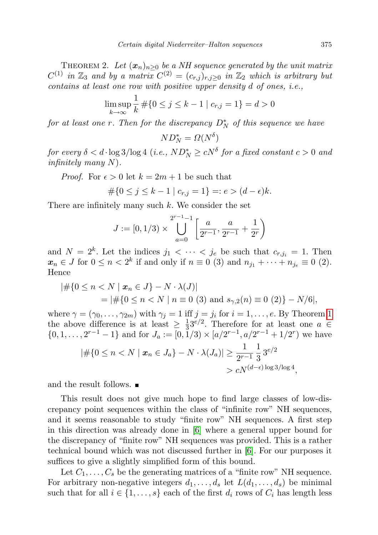THEOREM 2. Let  $(x_n)_{n>0}$  be a NH sequence generated by the unit matrix  $C^{(1)}$  in  $\mathbb{Z}_3$  and by a matrix  $C^{(2)} = (c_{r,j})_{r,j \geq 0}$  in  $\mathbb{Z}_2$  which is arbitrary but contains at least one row with positive upper density d of ones, i.e.,

$$
\limsup_{k \to \infty} \frac{1}{k} \# \{ 0 \le j \le k - 1 \mid c_{r,j} = 1 \} = d > 0
$$

for at least one r. Then for the discrepancy  $D_N^*$  of this sequence we have

$$
ND_N^* = \Omega(N^{\delta})
$$

for every  $\delta < d \cdot \log 3 / {\log 4}$  (i.e.,  $ND^*_N \ge cN^{\delta}$  for a fixed constant  $c > 0$  and infinitely many  $N$ ).

*Proof.* For  $\epsilon > 0$  let  $k = 2m + 1$  be such that

$$
\#\{0 \le j \le k - 1 \mid c_{r,j} = 1\} =: e > (d - \epsilon)k.
$$

There are infinitely many such  $k$ . We consider the set

$$
J := [0, 1/3) \times \bigcup_{a=0}^{2^{r-1}-1} \left[ \frac{a}{2^{r-1}}, \frac{a}{2^{r-1}} + \frac{1}{2^r} \right)
$$

and  $N = 2^k$ . Let the indices  $j_1 < \cdots < j_e$  be such that  $c_{r,j_i} = 1$ . Then  $x_n \in J$  for  $0 \le n < 2^k$  if and only if  $n \equiv 0$  (3) and  $n_{j_1} + \cdots + n_{j_e} \equiv 0$  (2). Hence

$$
|\# \{0 \le n < N \mid \mathbf{x}_n \in J\} - N \cdot \lambda(J)|
$$
\n
$$
= |\# \{0 \le n < N \mid n \equiv 0 \text{ (3) and } s_{\gamma,2}(n) \equiv 0 \text{ (2)}\} - N/6|,
$$

where  $\gamma = (\gamma_0, \ldots, \gamma_{2m})$  with  $\gamma_i = 1$  $\gamma_i = 1$  iff  $j = j_i$  for  $i = 1, \ldots, e$ . By Theorem 1 the above difference is at least  $\geq \frac{1}{3}$  $\frac{1}{3}3^{e/2}$ . Therefore for at least one  $a \in$  $\{0, 1, \ldots, 2^{r-1} - 1\}$  and for  $J_a := [0, 1/3) \times [a/2^{r-1}, a/2^{r-1} + 1/2^r]$  we have

$$
|\# \{ 0 \le n < N \mid \mathbf{x}_n \in J_a \} - N \cdot \lambda(J_a)| \ge \frac{1}{2^{r-1}} \frac{1}{3} 3^{e/2}
$$
\n
$$
> cN^{(d-\epsilon)\log 3/\log 4}
$$

and the result follows.

This result does not give much hope to find large classes of low-discrepancy point sequences within the class of "infinite row" NH sequences, and it seems reasonable to study "finite row" NH sequences. A first step in this direction was already done in [\[6\]](#page-25-2) where a general upper bound for the discrepancy of "finite row" NH sequences was provided. This is a rather technical bound which was not discussed further in [\[6\]](#page-25-2). For our purposes it suffices to give a slightly simplified form of this bound.

Let  $C_1, \ldots, C_s$  be the generating matrices of a "finite row" NH sequence. For arbitrary non-negative integers  $d_1, \ldots, d_s$  let  $L(d_1, \ldots, d_s)$  be minimal such that for all  $i \in \{1, \ldots, s\}$  each of the first  $d_i$  rows of  $C_i$  has length less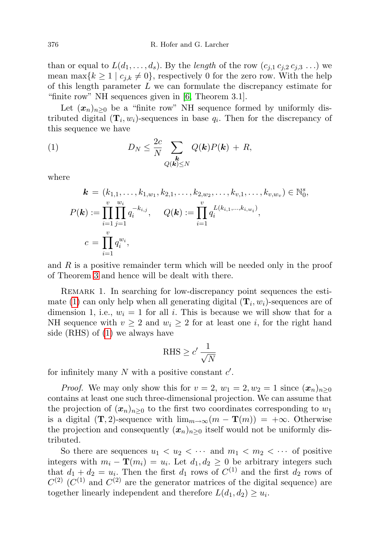than or equal to  $L(d_1,\ldots,d_s)$ . By the length of the row  $(c_{j,1},c_{j,2},c_{j,3},\ldots)$  we mean max ${k \geq 1 \mid c_{j,k} \neq 0}$ , respectively 0 for the zero row. With the help of this length parameter  $L$  we can formulate the discrepancy estimate for "finite row" NH sequences given in [\[6,](#page-25-2) Theorem 3.1].

Let  $(x_n)_{n>0}$  be a "finite row" NH sequence formed by uniformly distributed digital  $(\mathbf{T}_i, w_i)$ -sequences in base  $q_i$ . Then for the discrepancy of this sequence we have

(1) 
$$
D_N \leq \frac{2c}{N} \sum_{\substack{k \\ Q(k) \leq N}} Q(k)P(k) + R,
$$

where

<span id="page-7-0"></span>
$$
\mathbf{k} = (k_{1,1}, \ldots, k_{1,w_1}, k_{2,1}, \ldots, k_{2,w_2}, \ldots, k_{v,1}, \ldots, k_{v,w_v}) \in \mathbb{N}_0^s,
$$
  

$$
P(\mathbf{k}) := \prod_{i=1}^v \prod_{j=1}^{w_i} q_i^{-k_{i,j}}, \quad Q(\mathbf{k}) := \prod_{i=1}^v q_i^{L(k_{i,1}, \ldots, k_{i,w_i})},
$$
  

$$
c = \prod_{i=1}^v q_i^{w_i},
$$

and  $R$  is a positive remainder term which will be needed only in the proof of Theorem [3](#page-8-0) and hence will be dealt with there.

REMARK 1. In searching for low-discrepancy point sequences the esti-mate [\(1\)](#page-7-0) can only help when all generating digital  $(\mathbf{T}_i, w_i)$ -sequences are of dimension 1, i.e.,  $w_i = 1$  for all i. This is because we will show that for a NH sequence with  $v \geq 2$  and  $w_i \geq 2$  for at least one *i*, for the right hand side (RHS) of [\(1\)](#page-7-0) we always have

$$
\text{RHS} \ge c' \frac{1}{\sqrt{N}}
$$

for infinitely many  $N$  with a positive constant  $c'$ .

*Proof.* We may only show this for  $v = 2$ ,  $w_1 = 2$ ,  $w_2 = 1$  since  $(\mathbf{x}_n)_{n \geq 0}$ contains at least one such three-dimensional projection. We can assume that the projection of  $(x_n)_{n\geq 0}$  to the first two coordinates corresponding to  $w_1$ is a digital  $(T, 2)$ -sequence with  $\lim_{m\to\infty} (m - T(m)) = +\infty$ . Otherwise the projection and consequently  $(x_n)_{n>0}$  itself would not be uniformly distributed.

So there are sequences  $u_1 < u_2 < \cdots$  and  $m_1 < m_2 < \cdots$  of positive integers with  $m_i - \mathbf{T}(m_i) = u_i$ . Let  $d_1, d_2 \geq 0$  be arbitrary integers such that  $d_1 + d_2 = u_i$ . Then the first  $d_1$  rows of  $C^{(1)}$  and the first  $d_2$  rows of  $C^{(2)}$  ( $C^{(1)}$  and  $C^{(2)}$  are the generator matrices of the digital sequence) are together linearly independent and therefore  $L(d_1, d_2) \geq u_i$ .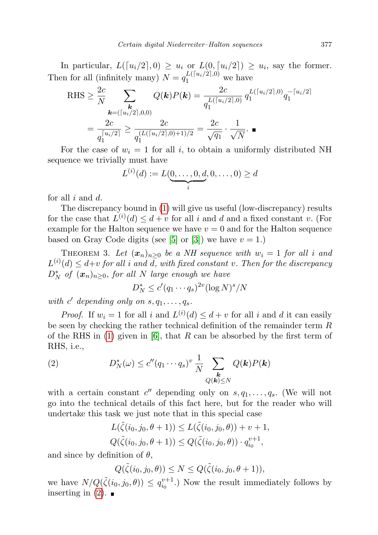In particular,  $L([u_i/2], 0) \ge u_i$  or  $L(0, [u_i/2]) \ge u_i$ , say the former. Then for all (infinitely many)  $N = q_1^{L([u_i/2],0)}$  we have

RHS 
$$
\geq \frac{2c}{N} \sum_{\mathbf{k}=(\lceil u_i/2 \rceil,0,0)} Q(\mathbf{k})P(\mathbf{k}) = \frac{2c}{q_1^{L(\lceil u_i/2 \rceil,0)}} q_1^{L(\lceil u_i/2 \rceil,0)} q_1^{-\lceil u_i/2 \rceil}
$$
  

$$
= \frac{2c}{q_1^{\lceil u_i/2 \rceil}} \geq \frac{2c}{q_1^{(L(\lceil u_i/2 \rceil,0)+1)/2}} = \frac{2c}{\sqrt{q_1}} \cdot \frac{1}{\sqrt{N}}.
$$

For the case of  $w_i = 1$  for all i, to obtain a uniformly distributed NH sequence we trivially must have

$$
L^{(i)}(d) := L(\underbrace{0, \dots, 0, d}_{i}, 0, \dots, 0) \geq d
$$

for all  $i$  and  $d$ .

The discrepancy bound in [\(1\)](#page-7-0) will give us useful (low-discrepancy) results for the case that  $L^{(i)}(d) \leq d + v$  for all i and d and a fixed constant v. (For example for the Halton sequence we have  $v = 0$  and for the Halton sequence based on Gray Code digits (see [\[5\]](#page-25-6) or [\[3\]](#page-25-7)) we have  $v = 1$ .)

<span id="page-8-0"></span>THEOREM 3. Let  $(x_n)_{n>0}$  be a NH sequence with  $w_i = 1$  for all i and  $L^{(i)}(d) \leq d+v$  for all i and d, with fixed constant v. Then for the discrepancy  $D_N^*$  of  $(x_n)_{n\geq 0}$ , for all N large enough we have

$$
D_N^* \le c'(q_1 \cdots q_s)^{2v} (\log N)^s / N
$$

with  $c'$  depending only on  $s, q_1, \ldots, q_s$ .

*Proof.* If  $w_i = 1$  for all i and  $L^{(i)}(d) \leq d + v$  for all i and d it can easily be seen by checking the rather technical definition of the remainder term R of the RHS in [\(1\)](#page-7-0) given in [\[6\]](#page-25-2), that R can be absorbed by the first term of RHS, i.e.,

<span id="page-8-1"></span>(2) 
$$
D_N^*(\omega) \le c''(q_1 \cdots q_s)^v \frac{1}{N} \sum_{\substack{k \\ Q(k) \le N}} Q(k)P(k)
$$

with a certain constant  $c''$  depending only on  $s, q_1, \ldots, q_s$ . (We will not go into the technical details of this fact here, but for the reader who will undertake this task we just note that in this special case

$$
L(\tilde{\zeta}(i_0, j_0, \theta + 1)) \le L(\tilde{\zeta}(i_0, j_0, \theta)) + v + 1,
$$
  
 
$$
Q(\tilde{\zeta}(i_0, j_0, \theta + 1)) \le Q(\tilde{\zeta}(i_0, j_0, \theta)) \cdot q_{i_0}^{v+1},
$$

and since by definition of  $\theta$ ,

$$
Q(\tilde{\zeta}(i_0,j_0,\theta)) \leq N \leq Q(\tilde{\zeta}(i_0,j_0,\theta+1)),
$$

we have  $N/Q(\tilde{\zeta}(i_0,j_0,\theta)) \leq q_{i_0}^{v+1}$ . Now the result immediately follows by inserting in  $(2)$ .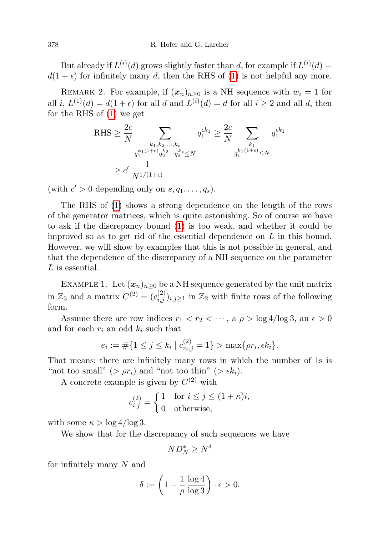But already if  $L^{(i)}(d)$  grows slightly faster than d, for example if  $L^{(i)}(d)$  =  $d(1 + \epsilon)$  for infinitely many d, then the RHS of [\(1\)](#page-7-0) is not helpful any more.

REMARK 2. For example, if  $(x_n)_{n\geq 0}$  is a NH sequence with  $w_i = 1$  for all i,  $L^{(1)}(d) = d(1+\epsilon)$  for all d and  $L^{(i)}(d) = d$  for all  $i \geq 2$  and all d, then for the RHS of [\(1\)](#page-7-0) we get

$$
\begin{aligned} \text{RHS} &\geq \frac{2c}{N}\sum_{\substack{k_1,k_2,\ldots,k_s\\ q_1^{k_1(1+\epsilon)}q_2^{k_2}\ldots q_s^{k_s}\leq N}}q_1^{\epsilon k_1} \geq \frac{2c}{N}\sum_{\substack{k_1\\ q_1^{k_1(1+\epsilon)}\leq N}}q_1^{\epsilon k_1}\\ &\geq c'\frac{1}{N^{1/(1+\epsilon)}} \end{aligned}
$$

(with  $c' > 0$  depending only on  $s, q_1, \ldots, q_s$ ).

The RHS of [\(1\)](#page-7-0) shows a strong dependence on the length of the rows of the generator matrices, which is quite astonishing. So of course we have to ask if the discrepancy bound [\(1\)](#page-7-0) is too weak, and whether it could be improved so as to get rid of the essential dependence on  $L$  in this bound. However, we will show by examples that this is not possible in general, and that the dependence of the discrepancy of a NH sequence on the parameter L is essential.

EXAMPLE 1. Let  $(x_n)_{n\geq 0}$  be a NH sequence generated by the unit matrix in  $\mathbb{Z}_3$  and a matrix  $C^{(2)} = (c_{i,j}^{(2)})_{i,j \geq 1}$  in  $\mathbb{Z}_2$  with finite rows of the following form.

Assume there are row indices  $r_1 < r_2 < \cdots$ , a  $\rho > \log 4/\log 3$ , an  $\epsilon > 0$ and for each  $r_i$  an odd  $k_i$  such that

$$
e_i := \#\{1 \le j \le k_i \mid c_{r_i,j}^{(2)} = 1\} > \max\{\rho r_i, \epsilon k_i\}.
$$

That means: there are infinitely many rows in which the number of 1s is "not too small" (>  $\rho r_i$ ) and "not too thin" (>  $\epsilon k_i$ ).

A concrete example is given by  $C^{(2)}$  with

$$
c_{i,j}^{(2)} = \begin{cases} 1 & \text{for } i \le j \le (1+\kappa)i, \\ 0 & \text{otherwise,} \end{cases}
$$

with some  $\kappa > \log 4 / \log 3$ .

We show that for the discrepancy of such sequences we have

$$
ND_N^* \ge N^{\delta}
$$

for infinitely many N and

$$
\delta := \left(1 - \frac{1}{\rho} \frac{\log 4}{\log 3}\right) \cdot \epsilon > 0.
$$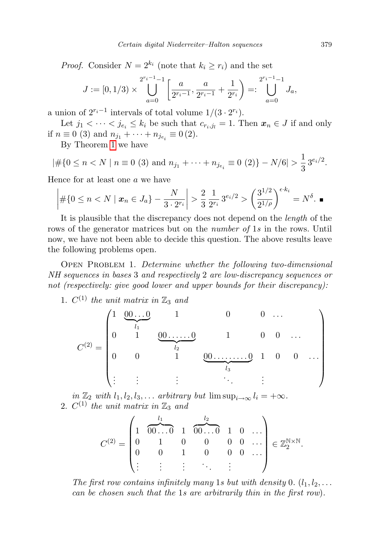*Proof.* Consider  $N = 2^{k_i}$  (note that  $k_i \geq r_i$ ) and the set

$$
J := [0, 1/3) \times \bigcup_{a=0}^{2^{r_i-1}-1} \left[ \frac{a}{2^{r_i-1}}, \frac{a}{2^{r_i-1}} + \frac{1}{2^{r_i}} \right] =: \bigcup_{a=0}^{2^{r_i-1}-1} J_a,
$$

a union of  $2^{r_i-1}$  intervals of total volume  $1/(3 \cdot 2^{r_i})$ .

Let  $j_1 < \cdots < j_{e_i} \le k_i$  be such that  $c_{r_i,j_l} = 1$ . Then  $x_n \in J$  if and only if  $n \equiv 0$  (3) and  $n_{j_1} + \cdots + n_{j_{e_i}} \equiv 0$  (2).

By Theorem [1](#page-3-0) we have

$$
|\#\{0 \le n < N \mid n \equiv 0 \ (3) \text{ and } n_{j_1} + \cdots + n_{j_{e_i}} \equiv 0 \ (2)\} - N/6| > \frac{1}{3} 3^{e_i/2}.
$$

Hence for at least one a we have

$$
\left| \#\{0 \le n < N \mid \mathbf{x}_n \in J_a\} - \frac{N}{3 \cdot 2^{r_i}} \right| > \frac{2}{3} \frac{1}{2^{r_i}} 3^{e_i/2} > \left(\frac{3^{1/2}}{2^{1/\rho}}\right)^{\epsilon \cdot k_i} = N^{\delta}.
$$

It is plausible that the discrepancy does not depend on the length of the rows of the generator matrices but on the *number of* 1s in the rows. Until now, we have not been able to decide this question. The above results leave the following problems open.

OPEN PROBLEM 1. Determine whether the following two-dimensional NH sequences in bases 3 and respectively 2 are low-discrepancy sequences or not (respectively: give good lower and upper bounds for their discrepancy):

1.  $C^{(1)}$  the unit matrix in  $\mathbb{Z}_3$  and

$$
C^{(2)} = \begin{pmatrix} 1 & 0 & 0 & 1 & 0 & 0 & \dots \\ 0 & 1 & 0 & \dots & 0 & 1 & 0 & 0 & \dots \\ 0 & 0 & 1 & 0 & \dots & 0 & 1 & 0 & 0 & \dots \\ \vdots & \vdots & \vdots & \vdots & \vdots & \ddots & \vdots & \vdots & \ddots \end{pmatrix}
$$

in  $\mathbb{Z}_2$  with  $l_1, l_2, l_3, \ldots$  arbitrary but  $\limsup_{i \to \infty} l_i = +\infty$ . 2.  $C^{(1)}$  the unit matrix in  $\mathbb{Z}_3$  and

C (2) = 1 l1 z }| { 00 . . . 0 1 l2 z }| { 00 . . . 0 1 0 . . . 0 1 0 0 0 0 . . . 0 0 1 0 0 0 . . . . . . . . . . . . . . . . . . ∈ Z N×N 2 .

The first row contains infinitely many 1s but with density 0.  $(l_1, l_2, \ldots)$ can be chosen such that the 1s are arbitrarily thin in the first row).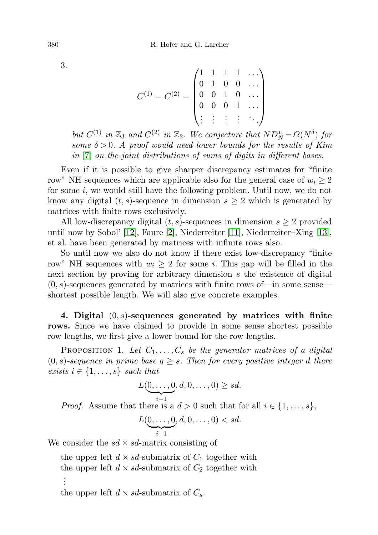$$
C^{(1)} = C^{(2)} = \begin{pmatrix} 1 & 1 & 1 & 1 & \dots \\ 0 & 1 & 0 & 0 & \dots \\ 0 & 0 & 1 & 0 & \dots \\ 0 & 0 & 0 & 1 & \dots \\ \vdots & \vdots & \vdots & \vdots & \ddots \end{pmatrix}
$$

but  $C^{(1)}$  in  $\mathbb{Z}_3$  and  $C^{(2)}$  in  $\mathbb{Z}_2$ . We conjecture that  $ND_N^* = \Omega(N^{\delta})$  for some  $\delta > 0$ . A proof would need lower bounds for the results of Kim in [\[7\]](#page-25-5) on the joint distributions of sums of digits in different bases.

Even if it is possible to give sharper discrepancy estimates for "finite row" NH sequences which are applicable also for the general case of  $w_i \geq 2$ for some  $i$ , we would still have the following problem. Until now, we do not know any digital  $(t, s)$ -sequence in dimension  $s \geq 2$  which is generated by matrices with finite rows exclusively.

All low-discrepancy digital  $(t, s)$ -sequences in dimension  $s \geq 2$  provided until now by Sobol' [\[12\]](#page-25-8), Faure [\[2\]](#page-25-9), Niederreiter [\[11\]](#page-25-0), Niederreiter–Xing [\[13\]](#page-25-10), et al. have been generated by matrices with infinite rows also.

So until now we also do not know if there exist low-discrepancy "finite row" NH sequences with  $w_i \geq 2$  for some i. This gap will be filled in the next section by proving for arbitrary dimension s the existence of digital  $(0, s)$ -sequences generated by matrices with finite rows of—in some sense shortest possible length. We will also give concrete examples.

4. Digital  $(0, s)$ -sequences generated by matrices with finite rows. Since we have claimed to provide in some sense shortest possible row lengths, we first give a lower bound for the row lengths.

PROPOSITION 1. Let  $C_1, \ldots, C_s$  be the generator matrices of a digital  $(0, s)$ -sequence in prime base  $q \geq s$ . Then for every positive integer d there exists  $i \in \{1, \ldots, s\}$  such that

$$
L(\underbrace{0,\ldots,0}_{i-1},d,0,\ldots,0)\geq sd.
$$

*Proof.* Assume that there is a  $d > 0$  such that for all  $i \in \{1, \ldots, s\}$ ,

$$
L(\underbrace{0,\ldots,0}_{i-1},d,0,\ldots,0)
$$

We consider the  $sd \times sd$ -matrix consisting of

the upper left  $d \times sd$ -submatrix of  $C_1$  together with the upper left  $d \times sd$ -submatrix of  $C_2$  together with . . . the upper left  $d \times sd$ -submatrix of  $C_s$ .

3.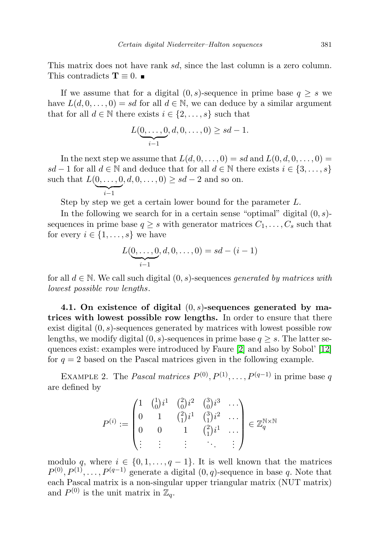This matrix does not have rank sd, since the last column is a zero column. This contradicts  $\mathbf{T} \equiv 0$ .

If we assume that for a digital  $(0, s)$ -sequence in prime base  $q \geq s$  we have  $L(d, 0, \ldots, 0) = sd$  for all  $d \in \mathbb{N}$ , we can deduce by a similar argument that for all  $d \in \mathbb{N}$  there exists  $i \in \{2, \ldots, s\}$  such that

$$
L(\underbrace{0,\ldots,0}_{i-1},d,0,\ldots,0) \ge sd-1.
$$

In the next step we assume that  $L(d, 0, \ldots, 0) = sd$  and  $L(0, d, 0, \ldots, 0) =$ sd − 1 for all  $d \in \mathbb{N}$  and deduce that for all  $d \in \mathbb{N}$  there exists  $i \in \{3, ..., s\}$ such that  $L(0, ..., 0, d, 0, ..., 0) \ge sd - 2$  and so on.

$$
\widetilde{i-1}
$$

Step by step we get a certain lower bound for the parameter L.

In the following we search for in a certain sense "optimal" digital  $(0, s)$ sequences in prime base  $q \geq s$  with generator matrices  $C_1, \ldots, C_s$  such that for every  $i \in \{1, \ldots, s\}$  we have

$$
L(\underbrace{0,\ldots,0}_{i-1},d,0,\ldots,0) = sd - (i-1)
$$

for all  $d \in \mathbb{N}$ . We call such digital  $(0, s)$ -sequences generated by matrices with lowest possible row lengths.

4.1. On existence of digital  $(0, s)$ -sequences generated by matrices with lowest possible row lengths. In order to ensure that there exist digital  $(0, s)$ -sequences generated by matrices with lowest possible row lengths, we modify digital  $(0, s)$ -sequences in prime base  $q \geq s$ . The latter sequences exist: examples were introduced by Faure [\[2\]](#page-25-9) and also by Sobol' [\[12\]](#page-25-8) for  $q = 2$  based on the Pascal matrices given in the following example.

<span id="page-12-0"></span>EXAMPLE 2. The *Pascal matrices*  $P^{(0)}, P^{(1)}, \ldots, P^{(q-1)}$  in prime base q are defined by

$$
P^{(i)} := \begin{pmatrix} 1 & \binom{1}{0}i^1 & \binom{2}{0}i^2 & \binom{3}{0}i^3 & \cdots \\ 0 & 1 & \binom{2}{1}i^1 & \binom{3}{1}i^2 & \cdots \\ 0 & 0 & 1 & \binom{2}{1}i^1 & \cdots \\ \vdots & \vdots & \vdots & \ddots & \vdots \end{pmatrix} \in \mathbb{Z}_q^{\mathbb{N} \times \mathbb{N}}
$$

modulo q, where  $i \in \{0, 1, \ldots, q-1\}$ . It is well known that the matrices  $P^{(0)}, P^{(1)}, \ldots, P^{(q-1)}$  generate a digital  $(0, q)$ -sequence in base q. Note that each Pascal matrix is a non-singular upper triangular matrix (NUT matrix) and  $P^{(0)}$  is the unit matrix in  $\mathbb{Z}_q$ .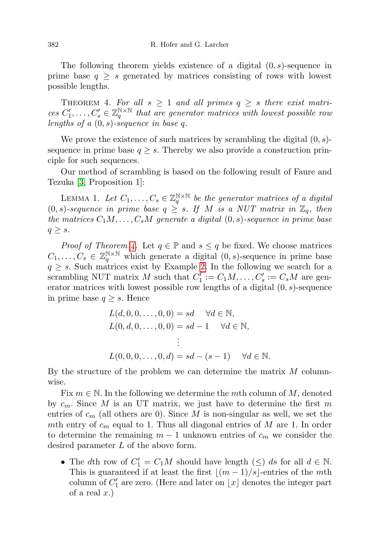The following theorem yields existence of a digital  $(0, s)$ -sequence in prime base  $q \geq s$  generated by matrices consisting of rows with lowest possible lengths.

<span id="page-13-0"></span>THEOREM 4. For all  $s \geq 1$  and all primes  $q \geq s$  there exist matrices  $C'_1, \ldots, C'_s \in \mathbb{Z}_q^{\mathbb{N} \times \mathbb{N}}$  that are generator matrices with lowest possible row lengths of a  $(0, s)$ -sequence in base q.

We prove the existence of such matrices by scrambling the digital  $(0, s)$ sequence in prime base  $q \geq s$ . Thereby we also provide a construction principle for such sequences.

Our method of scrambling is based on the following result of Faure and Tezuka [\[3,](#page-25-7) Proposition 1]:

<span id="page-13-1"></span>LEMMA 1. Let  $C_1, \ldots, C_s \in \mathbb{Z}_q^{\mathbb{N} \times \mathbb{N}}$  be the generator matrices of a digital  $(0, s)$ -sequence in prime base  $q \geq s$ . If M is a NUT matrix in  $\mathbb{Z}_q$ , then the matrices  $C_1M, \ldots, C_sM$  generate a digital  $(0, s)$ -sequence in prime base  $q \geq s$ .

*Proof of Theorem [4.](#page-13-0)* Let  $q \in \mathbb{P}$  and  $s \leq q$  be fixed. We choose matrices  $C_1, \ldots, C_s \in \mathbb{Z}_q^{\mathbb{N} \times \mathbb{N}}$  which generate a digital  $(0, s)$ -sequence in prime base  $q \geq s$ . Such matrices exist by Example [2.](#page-12-0) In the following we search for a scrambling NUT matrix M such that  $C'_1 := C_1 M, \ldots, C'_s := C_s M$  are generator matrices with lowest possible row lengths of a digital  $(0, s)$ -sequence in prime base  $q \geq s$ . Hence

$$
L(d, 0, 0, ..., 0, 0) = sd \quad \forall d \in \mathbb{N},
$$
  
\n
$$
L(0, d, 0, ..., 0, 0) = sd - 1 \quad \forall d \in \mathbb{N},
$$
  
\n
$$
\vdots
$$
  
\n
$$
L(0, 0, 0, ..., 0, d) = sd - (s - 1) \quad \forall d \in \mathbb{N}.
$$

By the structure of the problem we can determine the matrix  $M$  columnwise.

Fix  $m \in \mathbb{N}$ . In the following we determine the mth column of M, denoted by  $c_m$ . Since M is an UT matrix, we just have to determine the first m entries of  $c_m$  (all others are 0). Since M is non-singular as well, we set the mth entry of  $c_m$  equal to 1. Thus all diagonal entries of M are 1. In order to determine the remaining  $m-1$  unknown entries of  $c_m$  we consider the desired parameter L of the above form.

• The dth row of  $C_1' = C_1M$  should have length  $(\le)$  ds for all  $d \in \mathbb{N}$ . This is guaranteed if at least the first  $|(m - 1)/s|$ -entries of the mth column of  $C'_1$  are zero. (Here and later on  $\lfloor x \rfloor$  denotes the integer part of a real  $x.$ )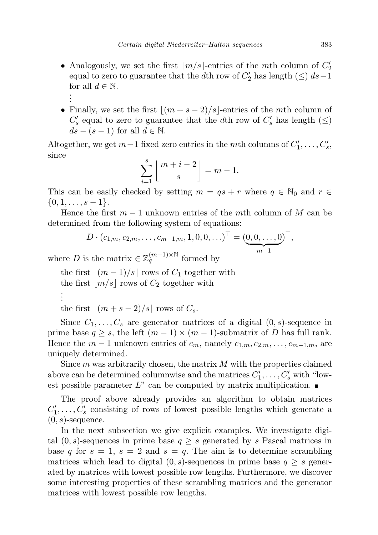- Analogously, we set the first  $\lfloor m/s \rfloor$ -entries of the mth column of  $C_2'$ equal to zero to guarantee that the dth row of  $C_2'$  has length  $(\le)$   $ds-1$ for all  $d \in \mathbb{N}$ . . . .
- Finally, we set the first  $|(m + s 2)/s|$ -entries of the mth column of  $C_s'$  equal to zero to guarantee that the  $d\text{th}$  row of  $C_s'$  has length  $(\leq)$  $ds - (s - 1)$  for all  $d \in \mathbb{N}$ .

Altogether, we get  $m-1$  fixed zero entries in the mth columns of  $C'_1, \ldots, C'_s$ , since

$$
\sum_{i=1}^{s} \left\lfloor \frac{m+i-2}{s} \right\rfloor = m-1.
$$

This can be easily checked by setting  $m = qs + r$  where  $q \in \mathbb{N}_0$  and  $r \in$  $\{0, 1, \ldots, s-1\}.$ 

Hence the first  $m-1$  unknown entries of the mth column of M can be determined from the following system of equations:

$$
D \cdot (c_{1,m}, c_{2,m}, \dots, c_{m-1,m}, 1, 0, 0, \dots)^{\top} = (\underbrace{0, 0, \dots, 0}_{m-1})^{\top},
$$

where D is the matrix  $\in \mathbb{Z}_q^{(m-1)\times \mathbb{N}}$  formed by

the first  $|(m - 1)/s|$  rows of  $C_1$  together with the first  $|m/s|$  rows of  $C_2$  together with . . .

the first  $|(m + s - 2)/s|$  rows of  $C_s$ .

Since  $C_1, \ldots, C_s$  are generator matrices of a digital  $(0, s)$ -sequence in prime base  $q \geq s$ , the left  $(m-1) \times (m-1)$ -submatrix of D has full rank. Hence the  $m-1$  unknown entries of  $c_m$ , namely  $c_{1,m}, c_{2,m}, \ldots, c_{m-1,m}$ , are uniquely determined.

Since  $m$  was arbitrarily chosen, the matrix  $M$  with the properties claimed above can be determined columnwise and the matrices  $C'_1, \ldots, C'_s$  with "lowest possible parameter  $L^{\prime\prime}$  can be computed by matrix multiplication.

The proof above already provides an algorithm to obtain matrices  $C'_1, \ldots, C'_s$  consisting of rows of lowest possible lengths which generate a  $(0, s)$ -sequence.

In the next subsection we give explicit examples. We investigate digital  $(0, s)$ -sequences in prime base  $q \geq s$  generated by s Pascal matrices in base q for  $s = 1$ ,  $s = 2$  and  $s = q$ . The aim is to determine scrambling matrices which lead to digital  $(0, s)$ -sequences in prime base  $q \geq s$  generated by matrices with lowest possible row lengths. Furthermore, we discover some interesting properties of these scrambling matrices and the generator matrices with lowest possible row lengths.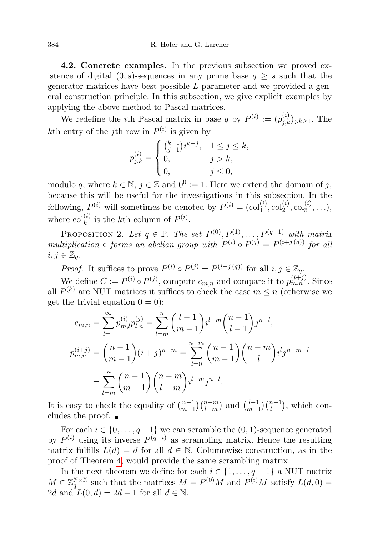4.2. Concrete examples. In the previous subsection we proved existence of digital  $(0, s)$ -sequences in any prime base  $q \geq s$  such that the generator matrices have best possible  $L$  parameter and we provided a general construction principle. In this subsection, we give explicit examples by applying the above method to Pascal matrices.

We redefine the *i*<sup>th</sup> Pascal matrix in base q by  $P^{(i)} := (p_{j,k}^{(i)})_{j,k \geq 1}$ . The kth entry of the j<sup>th</sup> row in  $P^{(i)}$  is given by

$$
p_{j,k}^{(i)} = \begin{cases} {k-1 \choose j-1} i^{k-j}, & 1 \le j \le k, \\ 0, & j > k, \\ 0, & j \le 0, \end{cases}
$$

modulo q, where  $k \in \mathbb{N}$ ,  $j \in \mathbb{Z}$  and  $0^0 := 1$ . Here we extend the domain of j, because this will be useful for the investigations in this subsection. In the following,  $P^{(i)}$  will sometimes be denoted by  $P^{(i)} = (\text{col}_1^{(i)}, \text{col}_2^{(i)}, \text{col}_3^{(i)}, \ldots),$ where  $col_k^{(i)}$  is the kth column of  $P^{(i)}$ .

<span id="page-15-1"></span>PROPOSITION 2. Let  $q \in \mathbb{P}$ . The set  $P^{(0)}, P^{(1)}, \ldots, P^{(q-1)}$  with matrix multiplication  $\circ$  forms an abelian group with  $P^{(i)} \circ P^{(j)} = P^{(i+j)}(q)$  for all  $i, j \in \mathbb{Z}_q$ .

*Proof.* It suffices to prove  $P^{(i)} \circ P^{(j)} = P^{(i+j(q))}$  for all  $i, j \in \mathbb{Z}_q$ .

We define  $C := P^{(i)} \circ P^{(j)}$ , compute  $c_{m,n}$  and compare it to  $p_{m,n}^{(i+j)}$ . Since all  $P^{(k)}$  are NUT matrices it suffices to check the case  $m \leq n$  (otherwise we get the trivial equation  $0 = 0$ :

$$
c_{m,n} = \sum_{l=1}^{\infty} p_{m,l}^{(i)} p_{l,n}^{(j)} = \sum_{l=m}^{n} {l-1 \choose m-1} i^{l-m} {n-1 \choose l-1} j^{n-l},
$$
  

$$
p_{m,n}^{(i+j)} = {n-1 \choose m-1} (i+j)^{n-m} = \sum_{l=0}^{n-m} {n-1 \choose m-1} {n-m \choose l} i^l j^{n-m-l}
$$
  

$$
= \sum_{l=m}^{n} {n-1 \choose m-1} {n-m \choose l-m} i^{l-m} j^{n-l}.
$$

It is easy to check the equality of  $\binom{n-1}{m-1}$  $\binom{n-1}{m-1}\binom{n-m}{l-m}$  and  $\binom{l-1}{m-1}$  $\binom{l-1}{m-1}\binom{n-1}{l-1}$ , which concludes the proof.

For each  $i \in \{0, \ldots, q-1\}$  we can scramble the  $(0, 1)$ -sequence generated by  $P^{(i)}$  using its inverse  $P^{(q-i)}$  as scrambling matrix. Hence the resulting matrix fulfills  $L(d) = d$  for all  $d \in \mathbb{N}$ . Columnwise construction, as in the proof of Theorem [4,](#page-13-0) would provide the same scrambling matrix.

<span id="page-15-0"></span>In the next theorem we define for each  $i \in \{1, \ldots, q-1\}$  a NUT matrix  $M \in \mathbb{Z}_q^{\mathbb{N} \times \mathbb{N}}$  such that the matrices  $M = P^{(0)}M$  and  $P^{(i)}M$  satisfy  $L(d, 0) =$ 2d and  $L(0, d) = 2d - 1$  for all  $d \in \mathbb{N}$ .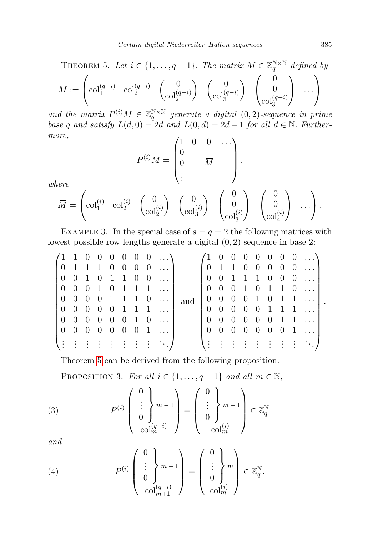THEOREM 5. Let 
$$
i \in \{1, ..., q-1\}
$$
. The matrix  $M \in \mathbb{Z}_q^{\mathbb{N} \times \mathbb{N}}$  defined by  
\n
$$
M := \begin{pmatrix} \operatorname{col}_1^{(q-i)} & \operatorname{col}_2^{(q-i)} \\ \operatorname{col}_2^{(q-i)} & \operatorname{col}_2^{(q-i)} \end{pmatrix} \begin{pmatrix} 0 \\ \operatorname{col}_3^{(q-i)} \end{pmatrix} \begin{pmatrix} 0 \\ 0 \\ \operatorname{col}_3^{(q-i)} \end{pmatrix} \cdots
$$

and the matrix  $P^{(i)}M \in \mathbb{Z}_q^{\mathbb{N}\times\mathbb{N}}$  generate a digital  $(0, 2)$ -sequence in prime base q and satisfy  $L(d, 0) = 2d$  and  $L(0, d) = 2d - 1$  for all  $d \in \mathbb{N}$ . Furthermore,

$$
P^{(i)}M = \begin{pmatrix} 1 & 0 & 0 & \dots \\ 0 & & & \\ 0 & & \overline{M} & \\ \vdots & & & \end{pmatrix},
$$

where

$$
\overline{M} = \begin{pmatrix} \mathrm{col}_1^{(i)} & \mathrm{col}_2^{(i)} & \begin{pmatrix} 0 \\ \mathrm{col}_2^{(i)} \end{pmatrix} & \begin{pmatrix} 0 \\ \mathrm{col}_3^{(i)} \end{pmatrix} & \begin{pmatrix} 0 \\ 0 \\ \mathrm{col}_3^{(i)} \end{pmatrix} & \begin{pmatrix} 0 \\ 0 \\ \mathrm{col}_4^{(i)} \end{pmatrix} & \cdots \end{pmatrix}.
$$

EXAMPLE 3. In the special case of  $s = q = 2$  the following matrices with lowest possible row lengths generate a digital (0, 2)-sequence in base 2:

|  |  |  |  | $(1\;1\;0\;0\;0\;0\;0\;0\;)$                                                      |                                                                           |  |  |  |  | $(1\ 0\ 0\ 0\ 0\ 0\ 0\ 0\ )$                                                                                                                                                                                                                                                                                                                                                                         |
|--|--|--|--|-----------------------------------------------------------------------------------|---------------------------------------------------------------------------|--|--|--|--|------------------------------------------------------------------------------------------------------------------------------------------------------------------------------------------------------------------------------------------------------------------------------------------------------------------------------------------------------------------------------------------------------|
|  |  |  |  | $\begin{bmatrix} 0 & 1 & 1 & 1 & 0 & 0 & 0 & 0 & \dots \end{bmatrix}$             |                                                                           |  |  |  |  | $\begin{bmatrix} 0 & 1 & 1 & 0 & 0 & 0 & 0 & 0 & \dots \end{bmatrix}$                                                                                                                                                                                                                                                                                                                                |
|  |  |  |  | $\begin{bmatrix} 0 & 0 & 1 & 0 & 1 & 1 & 0 & 0 & \dots \end{bmatrix}$             |                                                                           |  |  |  |  | $\begin{bmatrix} 0 & 0 & 1 & 1 & 1 & 0 & 0 & 0 & \dots \end{bmatrix}$                                                                                                                                                                                                                                                                                                                                |
|  |  |  |  | $\begin{bmatrix} 0 & 0 & 0 & 1 & 0 & 1 & 1 & 1 & \dots \end{bmatrix}$             |                                                                           |  |  |  |  | $\begin{bmatrix} 0 & 0 & 0 & 1 & 0 & 1 & 1 & 0 & \dots \end{bmatrix}$                                                                                                                                                                                                                                                                                                                                |
|  |  |  |  |                                                                                   | $\begin{bmatrix} 0 & 0 & 0 & 0 & 1 & 1 & 1 & 0 & \dots \end{bmatrix}$ and |  |  |  |  | $\begin{bmatrix} 0 & 0 & 0 & 0 & 1 & 0 & 1 & 1 & \dots \end{bmatrix}$                                                                                                                                                                                                                                                                                                                                |
|  |  |  |  | $\begin{bmatrix} 0 & 0 & 0 & 0 & 0 & 1 & 1 & 1 & \dots \end{bmatrix}$             |                                                                           |  |  |  |  | $0 \t0 \t0 \t0 \t0 \t1 \t1 \t1 \ldots$                                                                                                                                                                                                                                                                                                                                                               |
|  |  |  |  | $\begin{bmatrix} 0 & 0 & 0 & 0 & 0 & 0 & 1 & 0 & \dots \end{bmatrix}$             |                                                                           |  |  |  |  | $\begin{bmatrix} 0 & 0 & 0 & 0 & 0 & 0 & 1 & 1 & \dots \end{bmatrix}$                                                                                                                                                                                                                                                                                                                                |
|  |  |  |  | $\begin{bmatrix} 0 & 0 & 0 & 0 & 0 & 0 & 1 & \dots \end{bmatrix}$                 |                                                                           |  |  |  |  | $\begin{bmatrix} 0 & 0 & 0 & 0 & 0 & 0 & 0 & 1 & \dots \end{bmatrix}$                                                                                                                                                                                                                                                                                                                                |
|  |  |  |  | $\left\{ \begin{array}{c} 1 & 1 & 1 & 1 & 1 & 1 & 1 & 1 & 1 \end{array} \right\}$ |                                                                           |  |  |  |  | $\{ \frac{1}{2} : \frac{1}{2} : \frac{1}{2} : \frac{1}{2} : \frac{1}{2} : \frac{1}{2} : \frac{1}{2} : \frac{1}{2} : \frac{1}{2} : \frac{1}{2} : \frac{1}{2} : \frac{1}{2} : \frac{1}{2} : \frac{1}{2} : \frac{1}{2} : \frac{1}{2} : \frac{1}{2} : \frac{1}{2} : \frac{1}{2} : \frac{1}{2} : \frac{1}{2} : \frac{1}{2} : \frac{1}{2} : \frac{1}{2} : \frac{1}{2} : \frac{1}{2} : \frac{1}{2} : \frac$ |
|  |  |  |  |                                                                                   |                                                                           |  |  |  |  |                                                                                                                                                                                                                                                                                                                                                                                                      |

Theorem [5](#page-15-0) can be derived from the following proposition.

<span id="page-16-1"></span><span id="page-16-0"></span>PROPOSITION 3. For all  $i \in \{1, \ldots, q-1\}$  and all  $m \in \mathbb{N}$ ,

(3) 
$$
P^{(i)}\begin{pmatrix} 0\\ \vdots\\ 0\\ \text{col}_m^{(q-i)} \end{pmatrix} = \begin{pmatrix} 0\\ \vdots\\ 0\\ \text{col}_m^{(i)} \end{pmatrix}^{m-1} \in \mathbb{Z}_q^{\mathbb{N}}
$$

and

<span id="page-16-2"></span>(4) 
$$
P^{(i)}\begin{pmatrix} 0\\ \vdots\\ 0\\ \operatorname{col}_{m+1}^{(q-i)} \end{pmatrix} = \begin{pmatrix} 0\\ \vdots\\ 0\\ \operatorname{col}_{m}^{(i)} \end{pmatrix} \in \mathbb{Z}_q^{\mathbb{N}}.
$$

.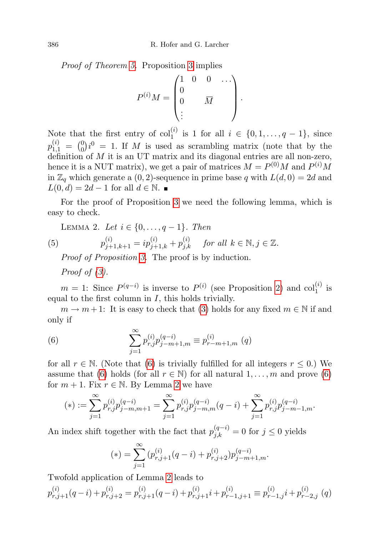Proof of Theorem [5.](#page-15-0) Proposition [3](#page-16-0) implies

$$
P^{(i)}M = \begin{pmatrix} 1 & 0 & 0 & \cdots \\ 0 & & \overline{M} \\ \vdots & & & \end{pmatrix}.
$$

Note that the first entry of  $col_1^{(i)}$  is 1 for all  $i \in \{0, 1, \ldots, q-1\}$ , since  $p_{1,1}^{(i)} = {0 \choose 0} i^0 = 1$ . If M is used as scrambling matrix (note that by the  $p_{1,1} - q_0 e^{-\Delta t}$ . If M is used as scrambing matrix (note that by the definition of M it is an UT matrix and its diagonal entries are all non-zero, hence it is a NUT matrix), we get a pair of matrices  $M = P^{(0)}M$  and  $P^{(i)}M$ in  $\mathbb{Z}_q$  which generate a  $(0, 2)$ -sequence in prime base q with  $L(d, 0) = 2d$  and  $L(0, d) = 2d - 1$  for all  $d \in \mathbb{N}$ .

For the proof of Proposition [3](#page-16-0) we need the following lemma, which is easy to check.

<span id="page-17-1"></span>LEMMA 2. Let 
$$
i \in \{0, ..., q-1\}
$$
. Then  
(5)  $p_{j+1,k+1}^{(i)} = ip_{j+1,k}^{(i)} + p_{j,k}^{(i)}$  for all  $k \in \mathbb{N}, j \in \mathbb{Z}$ .

Proof of Proposition [3.](#page-16-0) The proof is by induction.

Proof of  $(3)$ .

 $m = 1$ : Since  $P^{(q-i)}$  is inverse to  $P^{(i)}$  (see Proposition [2\)](#page-15-1) and col<sub>1</sub><sup>(i)</sup> is equal to the first column in  $I$ , this holds trivially.

 $m \to m+1$ : It is easy to check that [\(3\)](#page-16-1) holds for any fixed  $m \in \mathbb{N}$  if and only if

<span id="page-17-0"></span>(6) 
$$
\sum_{j=1}^{\infty} p_{r,j}^{(i)} p_{j-m+1,m}^{(q-i)} \equiv p_{r-m+1,m}^{(i)} \ (q)
$$

for all  $r \in \mathbb{N}$ . (Note that [\(6\)](#page-17-0) is trivially fulfilled for all integers  $r \leq 0$ .) We assume that [\(6\)](#page-17-0) holds (for all  $r \in \mathbb{N}$ ) for all natural  $1, \ldots, m$  and prove (6) for  $m + 1$ . Fix  $r \in \mathbb{N}$ . By Lemma [2](#page-17-1) we have

$$
(*) := \sum_{j=1}^{\infty} p_{r,j}^{(i)} p_{j-m,m+1}^{(q-i)} = \sum_{j=1}^{\infty} p_{r,j}^{(i)} p_{j-m,m}^{(q-i)}(q-i) + \sum_{j=1}^{\infty} p_{r,j}^{(i)} p_{j-m-1,m}^{(q-i)}.
$$

An index shift together with the fact that  $p_{j,k}^{(q-i)} = 0$  for  $j \leq 0$  yields

$$
(*) = \sum_{j=1}^{\infty} (p_{r,j+1}^{(i)}(q-i) + p_{r,j+2}^{(i)}) p_{j-m+1,m}^{(q-i)}.
$$

Twofold application of Lemma [2](#page-17-1) leads to

$$
p_{r,j+1}^{(i)}(q-i) + p_{r,j+2}^{(i)} = p_{r,j+1}^{(i)}(q-i) + p_{r,j+1}^{(i)}i + p_{r-1,j+1}^{(i)} \equiv p_{r-1,j}^{(i)}i + p_{r-2,j}^{(i)}(q)
$$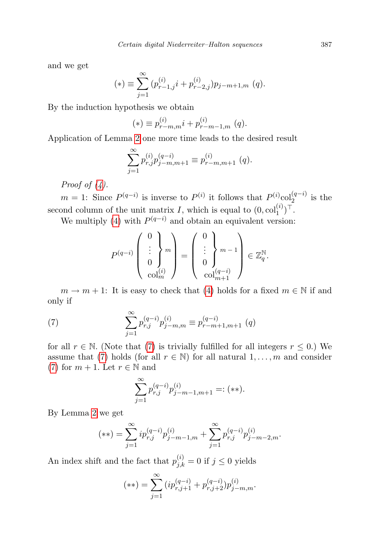and we get

$$
(*) \equiv \sum_{j=1}^{\infty} (p_{r-1,j}^{(i)} i + p_{r-2,j}^{(i)}) p_{j-m+1,m} (q).
$$

By the induction hypothesis we obtain

$$
(*) \equiv p_{r-m,m}^{(i)} i + p_{r-m-1,m}^{(i)} (q).
$$

Application of Lemma [2](#page-17-1) one more time leads to the desired result

$$
\sum_{j=1}^{\infty} p_{r,j}^{(i)} p_{j-m,m+1}^{(q-i)} \equiv p_{r-m,m+1}^{(i)} (q).
$$

Proof of  $(4)$ .

 $m = 1$ : Since  $P^{(q-i)}$  is inverse to  $P^{(i)}$  it follows that  $P^{(i)}_{\text{col}}_{2}^{(q-i)}$  is the second column of the unit matrix I, which is equal to  $(0, \text{col}_1^{(i)})^{\top}$ .

We multiply [\(4\)](#page-16-2) with  $P^{(q-i)}$  and obtain an equivalent version:

$$
P^{(q-i)}\left(\begin{array}{c}0\\ \vdots\\ 0\\ \operatorname{col}_m^{(i)}\end{array}\right)=\left(\begin{array}{c}0\\ \vdots\\ 0\\ \operatorname{col}_{m+1}^{(q-i)}\end{array}\right)\in\mathbb{Z}_q^{\mathbb{N}}.
$$

 $m \to m + 1$ : It is easy to check that [\(4\)](#page-16-2) holds for a fixed  $m \in \mathbb{N}$  if and only if

(7) 
$$
\sum_{j=1}^{\infty} p_{r,j}^{(q-i)} p_{j-m,m}^{(i)} \equiv p_{r-m+1,m+1}^{(q-i)} (q)
$$

for all  $r \in \mathbb{N}$ . (Note that [\(7\)](#page-18-0) is trivially fulfilled for all integers  $r \leq 0$ .) We assume that [\(7\)](#page-18-0) holds (for all  $r \in \mathbb{N}$ ) for all natural  $1, \ldots, m$  and consider [\(7\)](#page-18-0) for  $m + 1$ . Let  $r \in \mathbb{N}$  and

<span id="page-18-0"></span>
$$
\sum_{j=1}^{\infty} p_{r,j}^{(q-i)} p_{j-m-1,m+1}^{(i)} =: (**).
$$

By Lemma [2](#page-17-1) we get

$$
(**) = \sum_{j=1}^{\infty} i p_{r,j}^{(q-i)} p_{j-m-1,m}^{(i)} + \sum_{j=1}^{\infty} p_{r,j}^{(q-i)} p_{j-m-2,m}^{(i)}.
$$

An index shift and the fact that  $p_{j,k}^{(i)} = 0$  if  $j \leq 0$  yields

$$
(**) = \sum_{j=1}^{\infty} (ip_{r,j+1}^{(q-i)} + p_{r,j+2}^{(q-i)}) p_{j-m,m}^{(i)}.
$$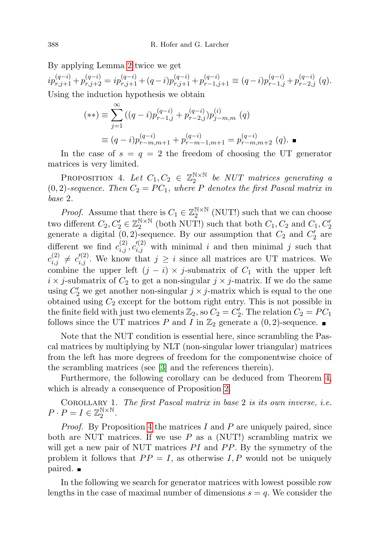By applying Lemma [2](#page-17-1) twice we get

 $ip_{r,j+1}^{(q-i)} + p_{r,j+2}^{(q-i)} = ip_{r,j+1}^{(q-i)} + (q-i)p_{r,j+1}^{(q-i)} + p_{r-1,j+1}^{(q-i)} \equiv (q-i)p_{r-1,j}^{(q-i)} + p_{r-2,j}^{(q-i)} (q).$ Using the induction hypothesis we obtain

$$
(**) \equiv \sum_{j=1}^{\infty} ((q-i)p_{r-1,j}^{(q-i)} + p_{r-2,j}^{(q-i)}) p_{j-m,m}^{(i)} (q)
$$
  

$$
\equiv (q-i)p_{r-m,m+1}^{(q-i)} + p_{r-m-1,m+1}^{(q-i)} = p_{r-m,m+2}^{(q-i)} (q).
$$

In the case of  $s = q = 2$  the freedom of choosing the UT generator matrices is very limited.

<span id="page-19-0"></span>PROPOSITION 4. Let  $C_1, C_2 \in \mathbb{Z}_2^{\mathbb{N} \times \mathbb{N}}$  be NUT matrices generating a  $(0, 2)$ -sequence. Then  $C_2 = PC_1$ , where P denotes the first Pascal matrix in base 2.

*Proof.* Assume that there is  $C_1 \in \mathbb{Z}_2^{\mathbb{N} \times \mathbb{N}}$  (NUT!) such that we can choose two different  $C_2, C'_2 \in \mathbb{Z}_2^{\mathbb{N} \times \mathbb{N}}$  (both NUT!) such that both  $C_1, C_2$  and  $C_1, C'_2$ generate a digital  $(0, 2)$ -sequence. By our assumption that  $C_2$  and  $C_2'$  are different we find  $c_{i,j}^{(2)}, c_{i,j}^{(2)}$  with minimal i and then minimal j such that  $c_{i,j}^{(2)} \neq c_{i,j}^{(2)}$ . We know that  $j \geq i$  since all matrices are UT matrices. We combine the upper left  $(j - i) \times j$ -submatrix of  $C_1$  with the upper left  $i \times j$ -submatrix of  $C_2$  to get a non-singular  $j \times j$ -matrix. If we do the same using  $C_2'$  we get another non-singular  $j \times j$ -matrix which is equal to the one obtained using  $C_2$  except for the bottom right entry. This is not possible in the finite field with just two elements  $\mathbb{Z}_2$ , so  $C_2 = C'_2$ . The relation  $C_2 = PC_1$ follows since the UT matrices P and I in  $\mathbb{Z}_2$  generate a  $(0, 2)$ -sequence.

Note that the NUT condition is essential here, since scrambling the Pascal matrices by multiplying by NLT (non-singular lower triangular) matrices from the left has more degrees of freedom for the componentwise choice of the scrambling matrices (see [\[3\]](#page-25-7) and the references therein).

Furthermore, the following corollary can be deduced from Theorem [4,](#page-19-0) which is already a consequence of Proposition [2.](#page-15-1)

Corollary 1. The first Pascal matrix in base 2 is its own inverse, i.e.  $P \cdot P = I \in \mathbb{Z}_2^{\mathbb{N} \times \mathbb{N}}.$ 

*Proof.* By Proposition [4](#page-19-0) the matrices  $I$  and  $P$  are uniquely paired, since both are NUT matrices. If we use  $P$  as a (NUT!) scrambling matrix we will get a new pair of NUT matrices  $PI$  and  $PP$ . By the symmetry of the problem it follows that  $PP = I$ , as otherwise I, P would not be uniquely paired.

In the following we search for generator matrices with lowest possible row lengths in the case of maximal number of dimensions  $s = q$ . We consider the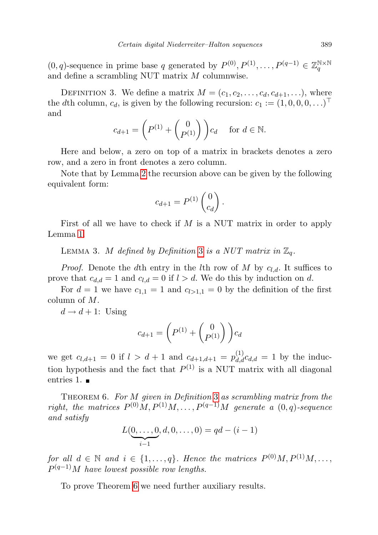$(0, q)$ -sequence in prime base q generated by  $P^{(0)}, P^{(1)}, \ldots, P^{(q-1)} \in \mathbb{Z}_q^{\mathbb{N} \times \mathbb{N}}$ and define a scrambling NUT matrix M columnwise.

<span id="page-20-0"></span>DEFINITION 3. We define a matrix  $M = (c_1, c_2, \ldots, c_d, c_{d+1}, \ldots)$ , where the dth column,  $c_d$ , is given by the following recursion:  $c_1 := (1, 0, 0, 0, \ldots)^\top$ and

$$
c_{d+1} = \left(P^{(1)} + \begin{pmatrix} 0\\P^{(1)}\end{pmatrix}\right) c_d \quad \text{ for } d \in \mathbb{N}.
$$

Here and below, a zero on top of a matrix in brackets denotes a zero row, and a zero in front denotes a zero column.

Note that by Lemma [2](#page-17-1) the recursion above can be given by the following equivalent form:

$$
c_{d+1} = P^{(1)} \begin{pmatrix} 0 \\ c_d \end{pmatrix}.
$$

<span id="page-20-3"></span>First of all we have to check if M is a NUT matrix in order to apply Lemma [1.](#page-13-1)

LEMMA [3](#page-20-0). M defined by Definition 3 is a NUT matrix in  $\mathbb{Z}_q$ .

*Proof.* Denote the dth entry in the lth row of M by  $c_{l,d}$ . It suffices to prove that  $c_{d,d} = 1$  and  $c_{l,d} = 0$  if  $l > d$ . We do this by induction on d.

For  $d = 1$  we have  $c_{1,1} = 1$  and  $c_{l>1,1} = 0$  by the definition of the first column of M.

 $d \rightarrow d+1$ : Using

$$
c_{d+1} = \left( P^{(1)} + \begin{pmatrix} 0 \\ P^{(1)} \end{pmatrix} \right) c_d
$$

we get  $c_{l,d+1} = 0$  if  $l > d+1$  and  $c_{d+1,d+1} = p_{d,d}^{(1)} c_{d,d} = 1$  by the induction hypothesis and the fact that  $P^{(1)}$  is a NUT matrix with all diagonal entries 1.

<span id="page-20-1"></span>THEOREM 6. For M given in Definition [3](#page-20-0) as scrambling matrix from the right, the matrices  $P^{(0)}M, P^{(1)}M, \ldots, P^{(q-1)}M$  generate a  $(0, q)$ -sequence and satisfy

$$
L(\underbrace{0,\ldots,0}_{i-1},d,0,\ldots,0) = qd - (i-1)
$$

for all  $d \in \mathbb{N}$  and  $i \in \{1, \ldots, q\}$ . Hence the matrices  $P^{(0)}M, P^{(1)}M, \ldots$ ,  $P^{(q-1)}M$  have lowest possible row lengths.

<span id="page-20-2"></span>To prove Theorem [6](#page-20-1) we need further auxiliary results.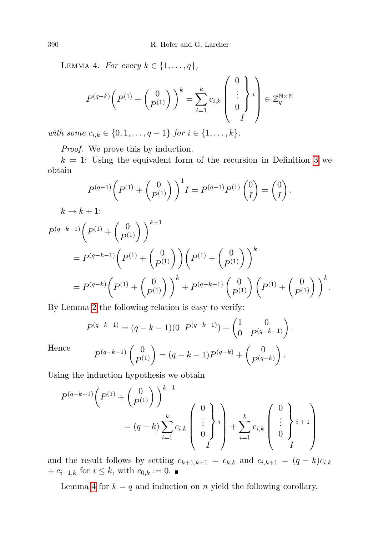LEMMA 4. For every  $k \in \{1, \ldots, q\},\$ 

$$
P^{(q-k)}\left(P^{(1)}+\begin{pmatrix}0\\P^{(1)}\end{pmatrix}\right)^k = \sum_{i=1}^k c_{i,k} \begin{pmatrix}0\\ \vdots\\0\\I\end{pmatrix} i \\ \in \mathbb{Z}_q^{\mathbb{N}\times\mathbb{N}}
$$

with some  $c_{i,k} \in \{0, 1, \ldots, q-1\}$  for  $i \in \{1, \ldots, k\}$ .

Proof. We prove this by induction.

 $k = 1$ : Using the equivalent form of the recursion in Definition [3](#page-20-0) we obtain

$$
P^{(q-1)}\left(P^{(1)} + {0 \choose P^{(1)}}\right)^{1} I = P^{(q-1)}P^{(1)} {0 \choose I} = {0 \choose I}.
$$
  
\n
$$
k \to k+1:
$$
  
\n
$$
P^{(q-k-1)}\left(P^{(1)} + {0 \choose P^{(1)}}\right)^{k+1}
$$
  
\n
$$
= P^{(q-k-1)}\left(P^{(1)} + {0 \choose P^{(1)}}\right)\left(P^{(1)} + {0 \choose P^{(1)}}\right)^{k}
$$
  
\n
$$
= P^{(q-k)}\left(P^{(1)} + {0 \choose P^{(1)}}\right)^{k} + P^{(q-k-1)}\left({0 \choose P^{(1)}}\right)\left(P^{(1)} + {0 \choose P^{(1)}}\right)^{k}.
$$

By Lemma [2](#page-17-1) the following relation is easy to verify:

$$
P^{(q-k-1)} = (q - k - 1)(0 \ P^{(q-k-1)}) + \begin{pmatrix} 1 & 0 \\ 0 & P^{(q-k-1)} \end{pmatrix}.
$$

$$
P^{(q-k-1)} \begin{pmatrix} 0 \\ P^{(1)} \end{pmatrix} = (q - k - 1)P^{(q-k)} + \begin{pmatrix} 0 \\ P^{(q-k)} \end{pmatrix}.
$$

Hence

Using the induction hypothesis we obtain

$$
P^{(q-k-1)}\left(P^{(1)} + \begin{pmatrix} 0\\P^{(1)} \end{pmatrix}\right)^{k+1}
$$
  
=  $(q-k)\sum_{i=1}^{k} c_{i,k} \begin{pmatrix} 0\\ \vdots\\ 0 \end{pmatrix} i + \sum_{i=1}^{k} c_{i,k} \begin{pmatrix} 0\\ \vdots\\ 0 \end{pmatrix} i+1$ 

and the result follows by setting  $c_{k+1,k+1} = c_{k,k}$  and  $c_{i,k+1} = (q-k)c_{i,k}$ +  $c_{i-1,k}$  for  $i \leq k$ , with  $c_{0,k} := 0$ . ■

<span id="page-21-0"></span>Lemma [4](#page-20-2) for  $k = q$  and induction on n yield the following corollary.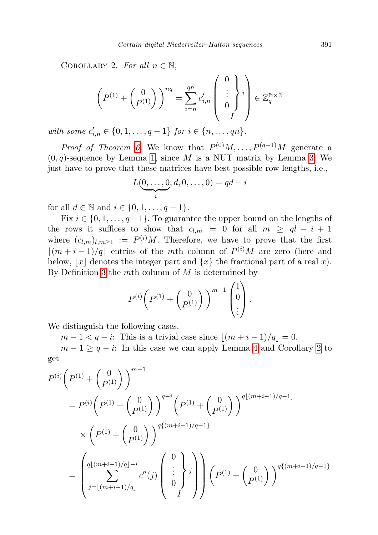COROLLARY 2. For all  $n \in \mathbb{N}$ ,

$$
\left(P^{(1)} + \begin{pmatrix} 0\\ P^{(1)} \end{pmatrix}\right)^{nq} = \sum_{i=n}^{qn} c'_{i,n} \begin{pmatrix} 0\\ \vdots\\ 0\\ I \end{pmatrix} i \right) \in \mathbb{Z}_q^{\mathbb{N} \times \mathbb{N}}
$$

with some  $c'_{i,n} \in \{0, 1, \ldots, q-1\}$  for  $i \in \{n, \ldots, qn\}$ .

*Proof of Theorem [6.](#page-20-1)* We know that  $P^{(0)}M, \ldots, P^{(q-1)}M$  generate a  $(0, q)$ -sequence by Lemma [1,](#page-13-1) since M is a NUT matrix by Lemma [3.](#page-20-3) We just have to prove that these matrices have best possible row lengths, i.e.,

$$
L(\underbrace{0,\ldots,0}_{i},d,0,\ldots,0)=qd-i
$$

for all  $d \in \mathbb{N}$  and  $i \in \{0, 1, \ldots, q-1\}.$ 

Fix  $i \in \{0, 1, \ldots, q-1\}$ . To guarantee the upper bound on the lengths of the rows it suffices to show that  $c_{l,m} = 0$  for all  $m \geq ql - i + 1$ where  $(c_{l,m})_{l,m\geq 1} := P^{(i)}M$ . Therefore, we have to prove that the first  $\lfloor (m + i - 1)/q \rfloor$  entries of the mth column of  $P^{(i)}M$  are zero (here and below,  $|x|$  denotes the integer part and  $\{x\}$  the fractional part of a real x). By Definition [3](#page-20-0) the mth column of  $M$  is determined by

$$
P^{(i)}\left(P^{(1)}+\begin{pmatrix}0\\P^{(1)}\end{pmatrix}\right)^{m-1}\begin{pmatrix}1\\0\\\vdots\end{pmatrix}.
$$

We distinguish the following cases.

 $m-1 < q-i$ : This is a trivial case since  $|(m+i-1)/q| = 0$ .

 $m-1 \geq q-i$ : In this case we can apply Lemma [4](#page-20-2) and Corollary [2](#page-21-0) to get

$$
P^{(i)}\left(P^{(1)} + {0 \choose P^{(1)}}\right)^{m-1}
$$
  
=  $P^{(i)}\left(P^{(1)} + {0 \choose P^{(1)}}\right)^{q-i}\left(P^{(1)} + {0 \choose P^{(1)}}\right)^{q\lfloor(m+i-1)/q-1\rfloor}$   

$$
\times \left(P^{(1)} + {0 \choose P^{(1)}}\right)^{q\{(m+i-1)/q-1\}}
$$
  
=  $\left(\sum_{j=\lfloor(m+i-1)/q\rfloor}^{q\lfloor(m+i-1)/q\rfloor-i} c''(j) \left(\begin{array}{c} 0 \\ \vdots \\ 0 \end{array}\right)^j\right)\left(P^{(1)} + {0 \choose P^{(1)}}\right)^{q\{(m+i-1)/q-1\}}$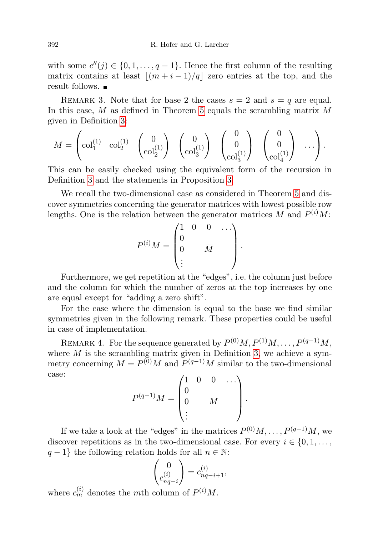with some  $c''(j) \in \{0, 1, \ldots, q-1\}$ . Hence the first column of the resulting matrix contains at least  $|(m + i - 1)/q|$  zero entries at the top, and the result follows.

REMARK 3. Note that for base 2 the cases  $s = 2$  and  $s = q$  are equal. In this case,  $M$  as defined in Theorem [5](#page-15-0) equals the scrambling matrix  $M$ given in Definition [3:](#page-20-0)

$$
M = \begin{pmatrix} \mathrm{col}_1^{(1)} & \mathrm{col}_2^{(1)} & \begin{pmatrix} 0 \\ \mathrm{col}_2^{(1)} \end{pmatrix} & \begin{pmatrix} 0 \\ \mathrm{col}_3^{(1)} \end{pmatrix} & \begin{pmatrix} 0 \\ 0 \\ \mathrm{col}_3^{(1)} \end{pmatrix} & \begin{pmatrix} 0 \\ 0 \\ \mathrm{col}_4^{(1)} \end{pmatrix} & \cdots \end{pmatrix}.
$$

This can be easily checked using the equivalent form of the recursion in Definition [3](#page-20-0) and the statements in Proposition [3.](#page-16-0)

We recall the two-dimensional case as considered in Theorem [5](#page-15-0) and discover symmetries concerning the generator matrices with lowest possible row lengths. One is the relation between the generator matrices M and  $P^{(i)}M$ :

$$
P^{(i)}M = \begin{pmatrix} 1 & 0 & 0 & \dots \\ 0 & & \overline{M} \\ \vdots & & & \end{pmatrix}.
$$

Furthermore, we get repetition at the "edges", i.e. the column just before and the column for which the number of zeros at the top increases by one are equal except for "adding a zero shift".

For the case where the dimension is equal to the base we find similar symmetries given in the following remark. These properties could be useful in case of implementation.

REMARK 4. For the sequence generated by  $P^{(0)}M, P^{(1)}M, \ldots, P^{(q-1)}M$ , where  $M$  is the scrambling matrix given in Definition [3,](#page-20-0) we achieve a symmetry concerning  $M = P^{(0)}M$  and  $P^{(q-1)}M$  similar to the two-dimensional case:

$$
P^{(q-1)}M = \begin{pmatrix} 1 & 0 & 0 & \dots \\ 0 & & & \\ 0 & & M & \\ \vdots & & & \end{pmatrix}.
$$

If we take a look at the "edges" in the matrices  $P^{(0)}M, \ldots, P^{(q-1)}M$ , we discover repetitions as in the two-dimensional case. For every  $i \in \{0, 1, \ldots,$  $q-1$ } the following relation holds for all  $n \in \mathbb{N}$ :

$$
\begin{pmatrix} 0 \\ c_{nq-i}^{(i)} \end{pmatrix} = c_{nq-i+1}^{(i)},
$$

where  $c_m^{(i)}$  denotes the *m*th column of  $P^{(i)}M$ .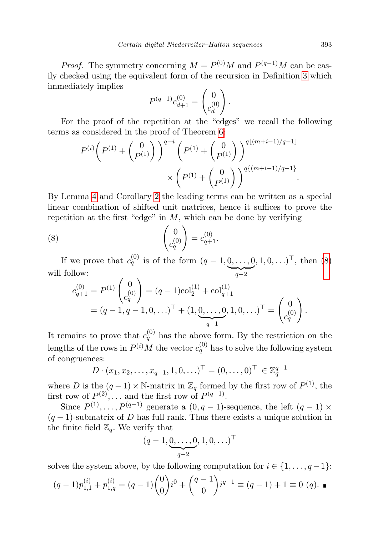*Proof.* The symmetry concerning  $M = P^{(0)}M$  and  $P^{(q-1)}M$  can be easily checked using the equivalent form of the recursion in Definition [3](#page-20-0) which immediately implies

$$
P^{(q-1)}c_{d+1}^{(0)} = \begin{pmatrix} 0 \\ c_d^{(0)} \end{pmatrix}.
$$

For the proof of the repetition at the "edges" we recall the following terms as considered in the proof of Theorem [6:](#page-20-1)

$$
P^{(i)}\left(P^{(1)} + \begin{pmatrix} 0\\P^{(1)} \end{pmatrix}\right)^{q-i}\left(P^{(1)} + \begin{pmatrix} 0\\P^{(1)} \end{pmatrix}\right)^{q\lfloor (m+i-1)/q-1 \rfloor} \times \left(P^{(1)} + \begin{pmatrix} 0\\P^{(1)} \end{pmatrix}\right)^{q\{(m+i-1)/q-1\}}.
$$

By Lemma [4](#page-20-2) and Corollary [2](#page-21-0) the leading terms can be written as a special linear combination of shifted unit matrices, hence it suffices to prove the repetition at the first "edge" in  $M$ , which can be done by verifying

(8) 
$$
\begin{pmatrix} 0 \\ c_q^{(0)} \end{pmatrix} = c_{q+1}^{(0)}.
$$

If we prove that  $c_q^{(0)}$  is of the form  $(q-1,0,\ldots,0)$  $\frac{ }{q-2}$  $(1, 0, \ldots)^{\top}$ , then  $(8)$ will follow:

<span id="page-24-0"></span>
$$
c_{q+1}^{(0)} = P^{(1)} \begin{pmatrix} 0 \\ c_q^{(0)} \end{pmatrix} = (q-1)\text{col}_2^{(1)} + \text{col}_{q+1}^{(1)}
$$
  
=  $(q-1, q-1, 0, \ldots)^{\top} + (1, \underbrace{0, \ldots, 0}_{q-1}, 1, 0, \ldots)^{\top} = \begin{pmatrix} 0 \\ c_q^{(0)} \end{pmatrix}.$ 

It remains to prove that  $c_q^{(0)}$  has the above form. By the restriction on the lengths of the rows in  $P^{(i)}M$  the vector  $c_q^{(0)}$  has to solve the following system of congruences:

$$
D \cdot (x_1, x_2, \dots, x_{q-1}, 1, 0, \dots)^{\top} = (0, \dots, 0)^{\top} \in \mathbb{Z}_q^{q-1}
$$

where D is the  $(q-1) \times \mathbb{N}$ -matrix in  $\mathbb{Z}_q$  formed by the first row of  $P^{(1)}$ , the first row of  $P^{(2)}$ , ... and the first row of  $P^{(q-1)}$ .

Since  $P^{(1)}, \ldots, P^{(q-1)}$  generate a  $(0, q-1)$ -sequence, the left  $(q-1) \times$  $(q-1)$ -submatrix of D has full rank. Thus there exists a unique solution in the finite field  $\mathbb{Z}_q$ . We verify that

$$
(q-1, \underbrace{0, \ldots, 0}_{q-2}, 1, 0, \ldots)^{\top}
$$

solves the system above, by the following computation for  $i \in \{1, \ldots, q-1\}$ :

$$
(q-1)p_{1,1}^{(i)} + p_{1,q}^{(i)} = (q-1)\binom{0}{0}i^0 + \binom{q-1}{0}i^{q-1} \equiv (q-1) + 1 \equiv 0 \ (q).
$$